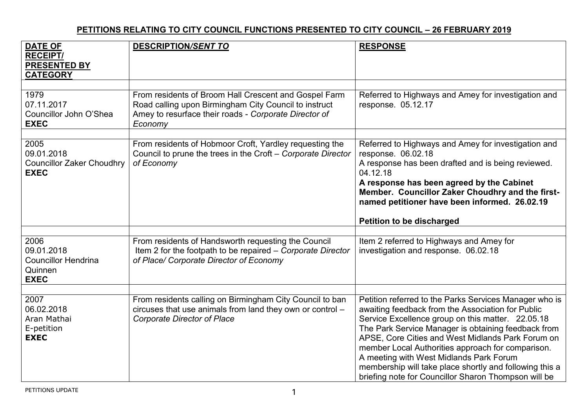## **PETITIONS RELATING TO CITY COUNCIL FUNCTIONS PRESENTED TO CITY COUNCIL – 26 FEBRUARY 2019**

| <b>DATE OF</b><br><b>RECEIPT/</b><br><b>PRESENTED BY</b><br><b>CATEGORY</b> | <b>DESCRIPTION/SENT TO</b>                                                                                                                                                         | <b>RESPONSE</b>                                                                                                                                                                                                                                                                                                                                                                                                                                                                                 |
|-----------------------------------------------------------------------------|------------------------------------------------------------------------------------------------------------------------------------------------------------------------------------|-------------------------------------------------------------------------------------------------------------------------------------------------------------------------------------------------------------------------------------------------------------------------------------------------------------------------------------------------------------------------------------------------------------------------------------------------------------------------------------------------|
| 1979<br>07.11.2017<br>Councillor John O'Shea<br><b>EXEC</b>                 | From residents of Broom Hall Crescent and Gospel Farm<br>Road calling upon Birmingham City Council to instruct<br>Amey to resurface their roads - Corporate Director of<br>Economy | Referred to Highways and Amey for investigation and<br>response. 05.12.17                                                                                                                                                                                                                                                                                                                                                                                                                       |
| 2005<br>09.01.2018<br><b>Councillor Zaker Choudhry</b><br><b>EXEC</b>       | From residents of Hobmoor Croft, Yardley requesting the<br>Council to prune the trees in the Croft - Corporate Director<br>of Economy                                              | Referred to Highways and Amey for investigation and<br>response. 06.02.18<br>A response has been drafted and is being reviewed.<br>04.12.18<br>A response has been agreed by the Cabinet<br>Member. Councillor Zaker Choudhry and the first-<br>named petitioner have been informed. 26.02.19<br><b>Petition to be discharged</b>                                                                                                                                                               |
| 2006<br>09.01.2018<br><b>Councillor Hendrina</b><br>Quinnen<br><b>EXEC</b>  | From residents of Handsworth requesting the Council<br>Item 2 for the footpath to be repaired - Corporate Director<br>of Place/ Corporate Director of Economy                      | Item 2 referred to Highways and Amey for<br>investigation and response. 06.02.18                                                                                                                                                                                                                                                                                                                                                                                                                |
| 2007<br>06.02.2018<br>Aran Mathai<br>E-petition<br><b>EXEC</b>              | From residents calling on Birmingham City Council to ban<br>circuses that use animals from land they own or control -<br><b>Corporate Director of Place</b>                        | Petition referred to the Parks Services Manager who is<br>awaiting feedback from the Association for Public<br>Service Excellence group on this matter. 22.05.18<br>The Park Service Manager is obtaining feedback from<br>APSE, Core Cities and West Midlands Park Forum on<br>member Local Authorities approach for comparison.<br>A meeting with West Midlands Park Forum<br>membership will take place shortly and following this a<br>briefing note for Councillor Sharon Thompson will be |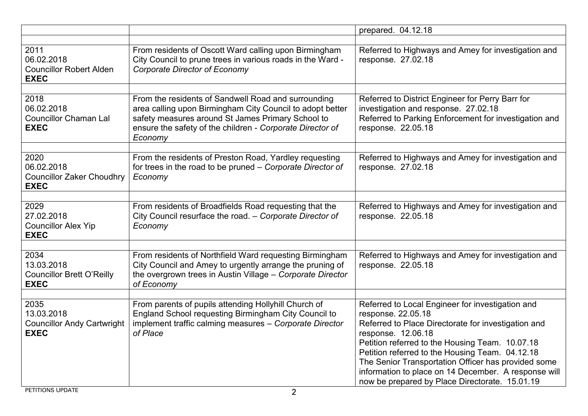|                                                                        |                                                                                                                                                                                                                                               | prepared. 04.12.18                                                                                                                                                                                                                                                                                                                                                                                                         |
|------------------------------------------------------------------------|-----------------------------------------------------------------------------------------------------------------------------------------------------------------------------------------------------------------------------------------------|----------------------------------------------------------------------------------------------------------------------------------------------------------------------------------------------------------------------------------------------------------------------------------------------------------------------------------------------------------------------------------------------------------------------------|
| 2011<br>06.02.2018<br><b>Councillor Robert Alden</b><br><b>EXEC</b>    | From residents of Oscott Ward calling upon Birmingham<br>City Council to prune trees in various roads in the Ward -<br><b>Corporate Director of Economy</b>                                                                                   | Referred to Highways and Amey for investigation and<br>response. 27.02.18                                                                                                                                                                                                                                                                                                                                                  |
| 2018<br>06.02.2018<br><b>Councillor Chaman Lal</b><br><b>EXEC</b>      | From the residents of Sandwell Road and surrounding<br>area calling upon Birmingham City Council to adopt better<br>safety measures around St James Primary School to<br>ensure the safety of the children - Corporate Director of<br>Economy | Referred to District Engineer for Perry Barr for<br>investigation and response. 27.02.18<br>Referred to Parking Enforcement for investigation and<br>response. 22.05.18                                                                                                                                                                                                                                                    |
| 2020<br>06.02.2018<br><b>Councillor Zaker Choudhry</b><br><b>EXEC</b>  | From the residents of Preston Road, Yardley requesting<br>for trees in the road to be pruned - Corporate Director of<br>Economy                                                                                                               | Referred to Highways and Amey for investigation and<br>response. 27.02.18                                                                                                                                                                                                                                                                                                                                                  |
| 2029<br>27.02.2018<br><b>Councillor Alex Yip</b><br><b>EXEC</b>        | From residents of Broadfields Road requesting that the<br>City Council resurface the road. - Corporate Director of<br>Economy                                                                                                                 | Referred to Highways and Amey for investigation and<br>response. 22.05.18                                                                                                                                                                                                                                                                                                                                                  |
| 2034<br>13.03.2018<br><b>Councillor Brett O'Reilly</b><br><b>EXEC</b>  | From residents of Northfield Ward requesting Birmingham<br>City Council and Amey to urgently arrange the pruning of<br>the overgrown trees in Austin Village - Corporate Director<br>of Economy                                               | Referred to Highways and Amey for investigation and<br>response. 22.05.18                                                                                                                                                                                                                                                                                                                                                  |
| 2035<br>13.03.2018<br><b>Councillor Andy Cartwright</b><br><b>EXEC</b> | From parents of pupils attending Hollyhill Church of<br>England School requesting Birmingham City Council to<br>implement traffic calming measures - Corporate Director<br>of Place                                                           | Referred to Local Engineer for investigation and<br>response. 22.05.18<br>Referred to Place Directorate for investigation and<br>response. 12.06.18<br>Petition referred to the Housing Team. 10.07.18<br>Petition referred to the Housing Team. 04.12.18<br>The Senior Transportation Officer has provided some<br>information to place on 14 December. A response will<br>now be prepared by Place Directorate. 15.01.19 |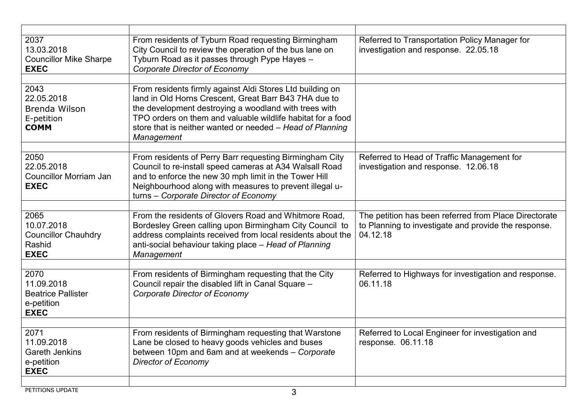| 2037<br>13.03.2018<br><b>Councillor Mike Sharpe</b><br><b>EXEC</b>           | From residents of Tyburn Road requesting Birmingham<br>City Council to review the operation of the bus lane on<br>Tyburn Road as it passes through Pype Hayes -<br><b>Corporate Director of Economy</b>                                                                                                               | Referred to Transportation Policy Manager for<br>investigation and response. 22.05.18                                     |
|------------------------------------------------------------------------------|-----------------------------------------------------------------------------------------------------------------------------------------------------------------------------------------------------------------------------------------------------------------------------------------------------------------------|---------------------------------------------------------------------------------------------------------------------------|
| 2043<br>22.05.2018<br>Brenda Wilson<br>E-petition<br><b>COMM</b>             | From residents firmly against Aldi Stores Ltd building on<br>land in Old Horns Crescent, Great Barr B43 7HA due to<br>the development destroying a woodland with trees with<br>TPO orders on them and valuable wildlife habitat for a food<br>store that is neither wanted or needed - Head of Planning<br>Management |                                                                                                                           |
| 2050<br>22.05.2018<br><b>Councillor Morriam Jan</b><br><b>EXEC</b>           | From residents of Perry Barr requesting Birmingham City<br>Council to re-install speed cameras at A34 Walsall Road<br>and to enforce the new 30 mph limit in the Tower Hill<br>Neighbourhood along with measures to prevent illegal u-<br>turns - Corporate Director of Economy                                       | Referred to Head of Traffic Management for<br>investigation and response. 12.06.18                                        |
|                                                                              |                                                                                                                                                                                                                                                                                                                       |                                                                                                                           |
| 2065<br>10.07.2018<br><b>Councillor Chauhdry</b><br>Rashid<br><b>EXEC</b>    | From the residents of Glovers Road and Whitmore Road,<br>Bordesley Green calling upon Birmingham City Council to<br>address complaints received from local residents about the<br>anti-social behaviour taking place - Head of Planning<br>Management                                                                 | The petition has been referred from Place Directorate<br>to Planning to investigate and provide the response.<br>04.12.18 |
| 2070<br>11.09.2018<br><b>Beatrice Pallister</b><br>e-petition<br><b>EXEC</b> | From residents of Birmingham requesting that the City<br>Council repair the disabled lift in Canal Square -<br><b>Corporate Director of Economy</b>                                                                                                                                                                   | Referred to Highways for investigation and response.<br>06.11.18                                                          |
|                                                                              |                                                                                                                                                                                                                                                                                                                       |                                                                                                                           |
| 2071<br>11.09.2018<br><b>Gareth Jenkins</b><br>e-petition<br><b>EXEC</b>     | From residents of Birmingham requesting that Warstone<br>Lane be closed to heavy goods vehicles and buses<br>between 10pm and 6am and at weekends - Corporate<br><b>Director of Economy</b>                                                                                                                           | Referred to Local Engineer for investigation and<br>response. 06.11.18                                                    |
|                                                                              |                                                                                                                                                                                                                                                                                                                       |                                                                                                                           |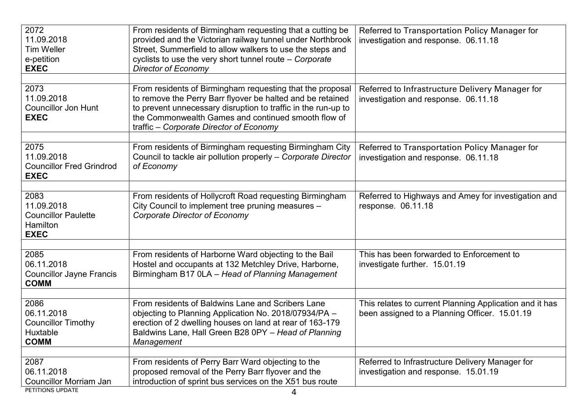| 2072<br>11.09.2018<br><b>Tim Weller</b><br>e-petition<br><b>EXEC</b>               | From residents of Birmingham requesting that a cutting be<br>provided and the Victorian railway tunnel under Northbrook<br>Street, Summerfield to allow walkers to use the steps and<br>cyclists to use the very short tunnel route - Corporate<br><b>Director of Economy</b>              | Referred to Transportation Policy Manager for<br>investigation and response. 06.11.18                    |
|------------------------------------------------------------------------------------|--------------------------------------------------------------------------------------------------------------------------------------------------------------------------------------------------------------------------------------------------------------------------------------------|----------------------------------------------------------------------------------------------------------|
| 2073<br>11.09.2018<br><b>Councillor Jon Hunt</b><br><b>EXEC</b>                    | From residents of Birmingham requesting that the proposal<br>to remove the Perry Barr flyover be halted and be retained<br>to prevent unnecessary disruption to traffic in the run-up to<br>the Commonwealth Games and continued smooth flow of<br>traffic – Corporate Director of Economy | Referred to Infrastructure Delivery Manager for<br>investigation and response. 06.11.18                  |
| 2075<br>11.09.2018<br><b>Councillor Fred Grindrod</b><br><b>EXEC</b>               | From residents of Birmingham requesting Birmingham City<br>Council to tackle air pollution properly - Corporate Director<br>of Economy                                                                                                                                                     | Referred to Transportation Policy Manager for<br>investigation and response. 06.11.18                    |
| 2083<br>11.09.2018<br><b>Councillor Paulette</b><br><b>Hamilton</b><br><b>EXEC</b> | From residents of Hollycroft Road requesting Birmingham<br>City Council to implement tree pruning measures -<br>Corporate Director of Economy                                                                                                                                              | Referred to Highways and Amey for investigation and<br>response. 06.11.18                                |
| 2085<br>06.11.2018<br><b>Councillor Jayne Francis</b><br><b>COMM</b>               | From residents of Harborne Ward objecting to the Bail<br>Hostel and occupants at 132 Metchley Drive, Harborne,<br>Birmingham B17 0LA - Head of Planning Management                                                                                                                         | This has been forwarded to Enforcement to<br>investigate further. 15.01.19                               |
| 2086<br>06.11.2018<br><b>Councillor Timothy</b><br>Huxtable<br><b>COMM</b>         | From residents of Baldwins Lane and Scribers Lane<br>objecting to Planning Application No. 2018/07934/PA -<br>erection of 2 dwelling houses on land at rear of 163-179<br>Baldwins Lane, Hall Green B28 0PY - Head of Planning<br>Management                                               | This relates to current Planning Application and it has<br>been assigned to a Planning Officer. 15.01.19 |
| 2087<br>06.11.2018<br>Councillor Morriam Jan<br>PETITIONS UPDATE                   | From residents of Perry Barr Ward objecting to the<br>proposed removal of the Perry Barr flyover and the<br>introduction of sprint bus services on the X51 bus route<br>4                                                                                                                  | Referred to Infrastructure Delivery Manager for<br>investigation and response. 15.01.19                  |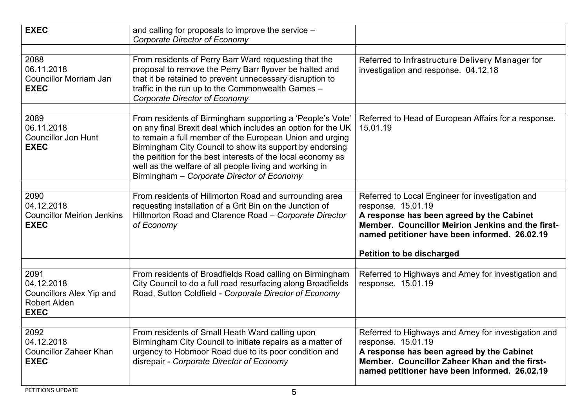| <b>EXEC</b>                                                                                 | and calling for proposals to improve the service -<br><b>Corporate Director of Economy</b>                                                                                                                                                                                                                                                                                                                                 |                                                                                                                                                                                                                                                               |
|---------------------------------------------------------------------------------------------|----------------------------------------------------------------------------------------------------------------------------------------------------------------------------------------------------------------------------------------------------------------------------------------------------------------------------------------------------------------------------------------------------------------------------|---------------------------------------------------------------------------------------------------------------------------------------------------------------------------------------------------------------------------------------------------------------|
| 2088<br>06.11.2018<br><b>Councillor Morriam Jan</b><br><b>EXEC</b>                          | From residents of Perry Barr Ward requesting that the<br>proposal to remove the Perry Barr flyover be halted and<br>that it be retained to prevent unnecessary disruption to<br>traffic in the run up to the Commonwealth Games -<br><b>Corporate Director of Economy</b>                                                                                                                                                  | Referred to Infrastructure Delivery Manager for<br>investigation and response. 04.12.18                                                                                                                                                                       |
| 2089<br>06.11.2018<br><b>Councillor Jon Hunt</b><br><b>EXEC</b>                             | From residents of Birmingham supporting a 'People's Vote'<br>on any final Brexit deal which includes an option for the UK<br>to remain a full member of the European Union and urging<br>Birmingham City Council to show its support by endorsing<br>the peitition for the best interests of the local economy as<br>well as the welfare of all people living and working in<br>Birmingham - Corporate Director of Economy | Referred to Head of European Affairs for a response.<br>15.01.19                                                                                                                                                                                              |
| 2090<br>04.12.2018<br><b>Councillor Meirion Jenkins</b><br><b>EXEC</b>                      | From residents of Hillmorton Road and surrounding area<br>requesting installation of a Grit Bin on the Junction of<br>Hillmorton Road and Clarence Road - Corporate Director<br>of Economy                                                                                                                                                                                                                                 | Referred to Local Engineer for investigation and<br>response. 15.01.19<br>A response has been agreed by the Cabinet<br>Member. Councillor Meirion Jenkins and the first-<br>named petitioner have been informed. 26.02.19<br><b>Petition to be discharged</b> |
| 2091<br>04.12.2018<br><b>Councillors Alex Yip and</b><br><b>Robert Alden</b><br><b>EXEC</b> | From residents of Broadfields Road calling on Birmingham<br>City Council to do a full road resurfacing along Broadfields<br>Road, Sutton Coldfield - Corporate Director of Economy                                                                                                                                                                                                                                         | Referred to Highways and Amey for investigation and<br>response. 15.01.19                                                                                                                                                                                     |
| 2092<br>04.12.2018<br><b>Councillor Zaheer Khan</b><br><b>EXEC</b>                          | From residents of Small Heath Ward calling upon<br>Birmingham City Council to initiate repairs as a matter of<br>urgency to Hobmoor Road due to its poor condition and<br>disrepair - Corporate Director of Economy                                                                                                                                                                                                        | Referred to Highways and Amey for investigation and<br>response. 15.01.19<br>A response has been agreed by the Cabinet<br>Member. Councillor Zaheer Khan and the first-<br>named petitioner have been informed. 26.02.19                                      |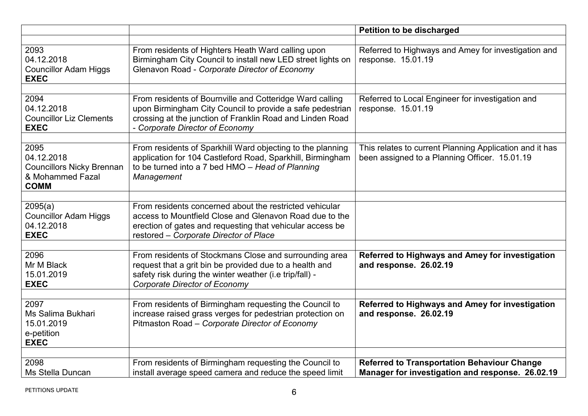|                                                                                           |                                                                                                                                                                                                                           | <b>Petition to be discharged</b>                                                                         |
|-------------------------------------------------------------------------------------------|---------------------------------------------------------------------------------------------------------------------------------------------------------------------------------------------------------------------------|----------------------------------------------------------------------------------------------------------|
| 2093<br>04.12.2018<br><b>Councillor Adam Higgs</b><br><b>EXEC</b>                         | From residents of Highters Heath Ward calling upon<br>Birmingham City Council to install new LED street lights on<br>Glenavon Road - Corporate Director of Economy                                                        | Referred to Highways and Amey for investigation and<br>response. 15.01.19                                |
| 2094<br>04.12.2018<br><b>Councillor Liz Clements</b><br><b>EXEC</b>                       | From residents of Bournville and Cotteridge Ward calling<br>upon Birmingham City Council to provide a safe pedestrian<br>crossing at the junction of Franklin Road and Linden Road<br>- Corporate Director of Economy     | Referred to Local Engineer for investigation and<br>response. 15.01.19                                   |
| 2095<br>04.12.2018<br><b>Councillors Nicky Brennan</b><br>& Mohammed Fazal<br><b>COMM</b> | From residents of Sparkhill Ward objecting to the planning<br>application for 104 Castleford Road, Sparkhill, Birmingham<br>to be turned into a 7 bed HMO - Head of Planning<br>Management                                | This relates to current Planning Application and it has<br>been assigned to a Planning Officer. 15.01.19 |
| 2095(a)<br><b>Councillor Adam Higgs</b><br>04.12.2018<br><b>EXEC</b>                      | From residents concerned about the restricted vehicular<br>access to Mountfield Close and Glenavon Road due to the<br>erection of gates and requesting that vehicular access be<br>restored - Corporate Director of Place |                                                                                                          |
| 2096<br>Mr M Black<br>15.01.2019<br><b>EXEC</b>                                           | From residents of Stockmans Close and surrounding area<br>request that a grit bin be provided due to a health and<br>safety risk during the winter weather (i.e trip/fall) -<br><b>Corporate Director of Economy</b>      | Referred to Highways and Amey for investigation<br>and response. 26.02.19                                |
| 2097<br>Ms Salima Bukhari<br>15.01.2019<br>e-petition<br><b>EXEC</b>                      | From residents of Birmingham requesting the Council to<br>increase raised grass verges for pedestrian protection on<br>Pitmaston Road - Corporate Director of Economy                                                     | Referred to Highways and Amey for investigation<br>and response. 26.02.19                                |
| 2098<br>Ms Stella Duncan                                                                  | From residents of Birmingham requesting the Council to<br>install average speed camera and reduce the speed limit                                                                                                         | <b>Referred to Transportation Behaviour Change</b><br>Manager for investigation and response. 26.02.19   |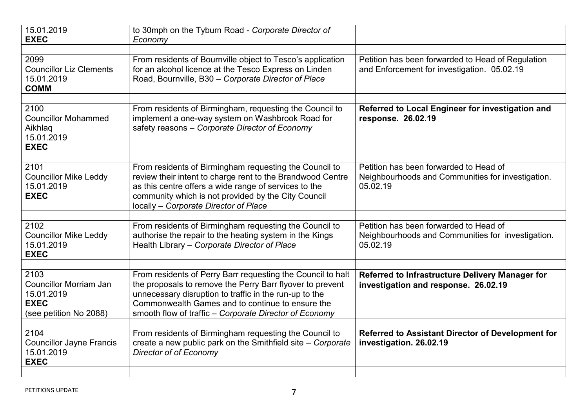| 15.01.2019<br><b>EXEC</b>                                                                    | to 30mph on the Tyburn Road - Corporate Director of<br>Economy                                                                                                                                                                                                                                   |                                                                                                         |
|----------------------------------------------------------------------------------------------|--------------------------------------------------------------------------------------------------------------------------------------------------------------------------------------------------------------------------------------------------------------------------------------------------|---------------------------------------------------------------------------------------------------------|
| 2099<br><b>Councillor Liz Clements</b><br>15.01.2019<br><b>COMM</b>                          | From residents of Bournville object to Tesco's application<br>for an alcohol licence at the Tesco Express on Linden<br>Road, Bournville, B30 - Corporate Director of Place                                                                                                                       | Petition has been forwarded to Head of Regulation<br>and Enforcement for investigation. 05.02.19        |
| 2100<br><b>Councillor Mohammed</b><br>Aikhlaq<br>15.01.2019<br><b>EXEC</b>                   | From residents of Birmingham, requesting the Council to<br>implement a one-way system on Washbrook Road for<br>safety reasons - Corporate Director of Economy                                                                                                                                    | Referred to Local Engineer for investigation and<br>response. 26.02.19                                  |
| 2101<br><b>Councillor Mike Leddy</b><br>15.01.2019<br><b>EXEC</b>                            | From residents of Birmingham requesting the Council to<br>review their intent to charge rent to the Brandwood Centre<br>as this centre offers a wide range of services to the<br>community which is not provided by the City Council<br>locally - Corporate Director of Place                    | Petition has been forwarded to Head of<br>Neighbourhoods and Communities for investigation.<br>05.02.19 |
| 2102<br><b>Councillor Mike Leddy</b><br>15.01.2019<br><b>EXEC</b>                            | From residents of Birmingham requesting the Council to<br>authorise the repair to the heating system in the Kings<br>Health Library - Corporate Director of Place                                                                                                                                | Petition has been forwarded to Head of<br>Neighbourhoods and Communities for investigation.<br>05.02.19 |
| 2103<br><b>Councillor Morriam Jan</b><br>15.01.2019<br><b>EXEC</b><br>(see petition No 2088) | From residents of Perry Barr requesting the Council to halt<br>the proposals to remove the Perry Barr flyover to prevent<br>unnecessary disruption to traffic in the run-up to the<br>Commonwealth Games and to continue to ensure the<br>smooth flow of traffic - Corporate Director of Economy | Referred to Infrastructure Delivery Manager for<br>investigation and response. 26.02.19                 |
| 2104<br><b>Councillor Jayne Francis</b><br>15.01.2019<br><b>EXEC</b>                         | From residents of Birmingham requesting the Council to<br>create a new public park on the Smithfield site - Corporate<br>Director of of Economy                                                                                                                                                  | Referred to Assistant Director of Development for<br>investigation. 26.02.19                            |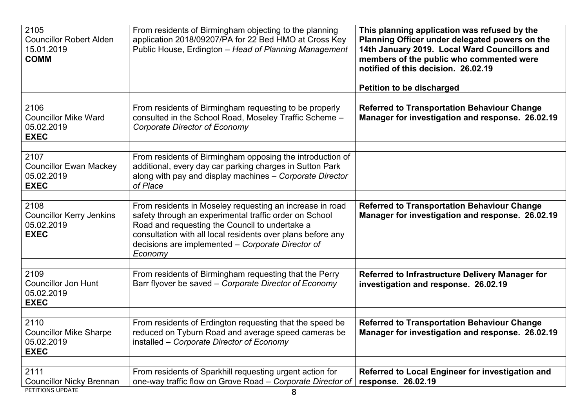| 2105<br><b>Councillor Robert Alden</b><br>15.01.2019<br><b>COMM</b>  | From residents of Birmingham objecting to the planning<br>application 2018/09207/PA for 22 Bed HMO at Cross Key<br>Public House, Erdington - Head of Planning Management                                                                                                                            | This planning application was refused by the<br>Planning Officer under delegated powers on the<br>14th January 2019. Local Ward Councillors and<br>members of the public who commented were<br>notified of this decision. 26.02.19<br><b>Petition to be discharged</b> |
|----------------------------------------------------------------------|-----------------------------------------------------------------------------------------------------------------------------------------------------------------------------------------------------------------------------------------------------------------------------------------------------|------------------------------------------------------------------------------------------------------------------------------------------------------------------------------------------------------------------------------------------------------------------------|
| 2106<br><b>Councillor Mike Ward</b><br>05.02.2019<br><b>EXEC</b>     | From residents of Birmingham requesting to be properly<br>consulted in the School Road, Moseley Traffic Scheme -<br><b>Corporate Director of Economy</b>                                                                                                                                            | <b>Referred to Transportation Behaviour Change</b><br>Manager for investigation and response. 26.02.19                                                                                                                                                                 |
| 2107<br><b>Councillor Ewan Mackey</b><br>05.02.2019<br><b>EXEC</b>   | From residents of Birmingham opposing the introduction of<br>additional, every day car parking charges in Sutton Park<br>along with pay and display machines - Corporate Director<br>of Place                                                                                                       |                                                                                                                                                                                                                                                                        |
| 2108<br><b>Councillor Kerry Jenkins</b><br>05.02.2019<br><b>EXEC</b> | From residents in Moseley requesting an increase in road<br>safety through an experimental traffic order on School<br>Road and requesting the Council to undertake a<br>consultation with all local residents over plans before any<br>decisions are implemented - Corporate Director of<br>Economy | <b>Referred to Transportation Behaviour Change</b><br>Manager for investigation and response. 26.02.19                                                                                                                                                                 |
| 2109<br><b>Councillor Jon Hunt</b><br>05.02.2019<br><b>EXEC</b>      | From residents of Birmingham requesting that the Perry<br>Barr flyover be saved – Corporate Director of Economy                                                                                                                                                                                     | <b>Referred to Infrastructure Delivery Manager for</b><br>investigation and response. 26.02.19                                                                                                                                                                         |
| 2110<br><b>Councillor Mike Sharpe</b><br>05.02.2019<br><b>EXEC</b>   | From residents of Erdington requesting that the speed be<br>reduced on Tyburn Road and average speed cameras be<br>installed – Corporate Director of Economy                                                                                                                                        | <b>Referred to Transportation Behaviour Change</b><br>Manager for investigation and response. 26.02.19                                                                                                                                                                 |
| 2111<br><b>Councillor Nicky Brennan</b><br>PETITIONS UPDATE          | From residents of Sparkhill requesting urgent action for<br>one-way traffic flow on Grove Road - Corporate Director of<br>8                                                                                                                                                                         | Referred to Local Engineer for investigation and<br>response. 26.02.19                                                                                                                                                                                                 |